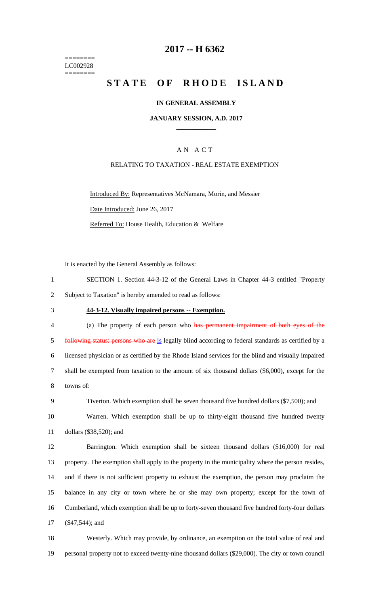======== LC002928 ========

# **2017 -- H 6362**

# **STATE OF RHODE ISLAND**

### **IN GENERAL ASSEMBLY**

### **JANUARY SESSION, A.D. 2017 \_\_\_\_\_\_\_\_\_\_\_\_**

### A N A C T

### RELATING TO TAXATION - REAL ESTATE EXEMPTION

Introduced By: Representatives McNamara, Morin, and Messier Date Introduced: June 26, 2017 Referred To: House Health, Education & Welfare

It is enacted by the General Assembly as follows:

| SECTION 1. Section 44-3-12 of the General Laws in Chapter 44-3 entitled "Property |
|-----------------------------------------------------------------------------------|
| Subject to Taxation" is hereby amended to read as follows:                        |

#### 3 **44-3-12. Visually impaired persons -- Exemption.**

| $\overline{4}$ | (a) The property of each person who has permanent impairment of both eyes of the                    |
|----------------|-----------------------------------------------------------------------------------------------------|
| 5              | following status: persons who are is legally blind according to federal standards as certified by a |
| 6              | licensed physician or as certified by the Rhode Island services for the blind and visually impaired |
|                | shall be exempted from taxation to the amount of six thousand dollars (\$6,000), except for the     |
| 8              | towns of:                                                                                           |

| Tiverton. Which exemption shall be seven thousand five hundred dollars (\$7,500); and |  |
|---------------------------------------------------------------------------------------|--|
|---------------------------------------------------------------------------------------|--|

10 Warren. Which exemption shall be up to thirty-eight thousand five hundred twenty 11 dollars (\$38,520); and

 Barrington. Which exemption shall be sixteen thousand dollars (\$16,000) for real property. The exemption shall apply to the property in the municipality where the person resides, and if there is not sufficient property to exhaust the exemption, the person may proclaim the balance in any city or town where he or she may own property; except for the town of Cumberland, which exemption shall be up to forty-seven thousand five hundred forty-four dollars (\$47,544); and

18 Westerly. Which may provide, by ordinance, an exemption on the total value of real and 19 personal property not to exceed twenty-nine thousand dollars (\$29,000). The city or town council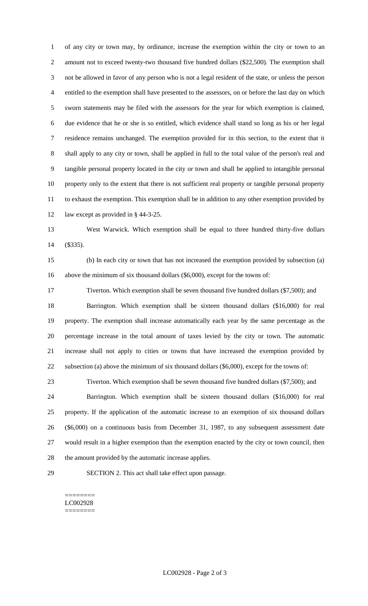of any city or town may, by ordinance, increase the exemption within the city or town to an 2 amount not to exceed twenty-two thousand five hundred dollars (\$22,500). The exemption shall not be allowed in favor of any person who is not a legal resident of the state, or unless the person entitled to the exemption shall have presented to the assessors, on or before the last day on which sworn statements may be filed with the assessors for the year for which exemption is claimed, due evidence that he or she is so entitled, which evidence shall stand so long as his or her legal residence remains unchanged. The exemption provided for in this section, to the extent that it shall apply to any city or town, shall be applied in full to the total value of the person's real and tangible personal property located in the city or town and shall be applied to intangible personal property only to the extent that there is not sufficient real property or tangible personal property to exhaust the exemption. This exemption shall be in addition to any other exemption provided by 12 law except as provided in § 44-3-25.

 West Warwick. Which exemption shall be equal to three hundred thirty-five dollars (\$335).

 (b) In each city or town that has not increased the exemption provided by subsection (a) above the minimum of six thousand dollars (\$6,000), except for the towns of:

 Tiverton. Which exemption shall be seven thousand five hundred dollars (\$7,500); and Barrington. Which exemption shall be sixteen thousand dollars (\$16,000) for real property. The exemption shall increase automatically each year by the same percentage as the percentage increase in the total amount of taxes levied by the city or town. The automatic increase shall not apply to cities or towns that have increased the exemption provided by subsection (a) above the minimum of six thousand dollars (\$6,000), except for the towns of:

Tiverton. Which exemption shall be seven thousand five hundred dollars (\$7,500); and

 Barrington. Which exemption shall be sixteen thousand dollars (\$16,000) for real property. If the application of the automatic increase to an exemption of six thousand dollars (\$6,000) on a continuous basis from December 31, 1987, to any subsequent assessment date would result in a higher exemption than the exemption enacted by the city or town council, then the amount provided by the automatic increase applies.

SECTION 2. This act shall take effect upon passage.

#### ======== LC002928 ========